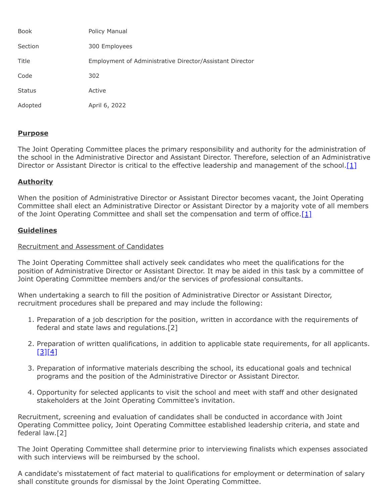| <b>Book</b>   | Policy Manual                                            |
|---------------|----------------------------------------------------------|
| Section       | 300 Employees                                            |
| Title         | Employment of Administrative Director/Assistant Director |
| Code          | 302                                                      |
| <b>Status</b> | Active                                                   |
| Adopted       | April 6, 2022                                            |

# **Purpose**

The Joint Operating Committee places the primary responsibility and authority for the administration of the school in the Administrative Director and Assistant Director. Therefore, selection of an Administrative Director or Assistant Director is critical to the effective leadership and management of the school. [\[1\]](http://www.legis.state.pa.us/cfdocs/legis/LI/uconsCheck.cfm?txtType=HTM&yr=1949&sessInd=0&smthLwInd=0&act=14&chpt=18&sctn=50&subsctn=1)

# **Authority**

When the position of Administrative Director or Assistant Director becomes vacant, the Joint Operating Committee shall elect an Administrative Director or Assistant Director by a majority vote of all members of the Joint Operating Committee and shall set the compensation and term of office.  $[1]$ 

### **Guidelines**

#### Recruitment and Assessment of Candidates

The Joint Operating Committee shall actively seek candidates who meet the qualifications for the position of Administrative Director or Assistant Director. It may be aided in this task by a committee of Joint Operating Committee members and/or the services of professional consultants.

When undertaking a search to fill the position of Administrative Director or Assistant Director, recruitment procedures shall be prepared and may include the following:

- 1. Preparation of a job description for the position, written in accordance with the requirements of federal and state laws and regulations.[2]
- 2. Preparation of written qualifications, in addition to applicable state requirements, for all applicants.  $[3][4]$  $[3][4]$
- 3. Preparation of informative materials describing the school, its educational goals and technical programs and the position of the Administrative Director or Assistant Director.
- 4. Opportunity for selected applicants to visit the school and meet with staff and other designated stakeholders at the Joint Operating Committee's invitation.

Recruitment, screening and evaluation of candidates shall be conducted in accordance with Joint Operating Committee policy, Joint Operating Committee established leadership criteria, and state and federal law.[2]

The Joint Operating Committee shall determine prior to interviewing finalists which expenses associated with such interviews will be reimbursed by the school.

A candidate's misstatement of fact material to qualifications for employment or determination of salary shall constitute grounds for dismissal by the Joint Operating Committee.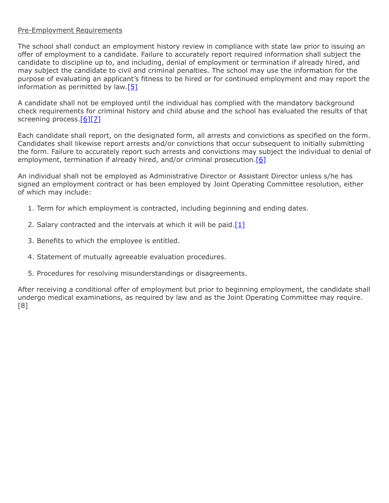### Pre-Employment Requirements

The school shall conduct an employment history review in compliance with state law prior to issuing an offer of employment to a candidate. Failure to accurately report required information shall subject the candidate to discipline up to, and including, denial of employment or termination if already hired, and may subject the candidate to civil and criminal penalties. The school may use the information for the purpose of evaluating an applicant's fitness to be hired or for continued employment and may report the information as permitted by law.[\[5\]](http://www.legis.state.pa.us/cfdocs/legis/LI/uconsCheck.cfm?txtType=HTM&yr=1949&sessInd=0&smthLwInd=0&act=14&chpt=1&sctn=11&subsctn=1)

A candidate shall not be employed until the individual has complied with the mandatory background check requirements for criminal history and child abuse and the school has evaluated the results of that screening process[.\[6\]](http://www.legis.state.pa.us/cfdocs/legis/LI/uconsCheck.cfm?txtType=HTM&yr=1949&sessInd=0&smthLwInd=0&act=14&chpt=1&sctn=11&subsctn=0)[\[7\]](http://www.legis.state.pa.us/cfdocs/legis/LI/consCheck.cfm?txtType=HTM&ttl=23&div=0&chpt=63&sctn=44&subsctn=0)

Each candidate shall report, on the designated form, all arrests and convictions as specified on the form. Candidates shall likewise report arrests and/or convictions that occur subsequent to initially submitting the form. Failure to accurately report such arrests and convictions may subject the individual to denial of employment, termination if already hired, and/or criminal prosecution.<sup>[\[6\]](http://www.legis.state.pa.us/cfdocs/legis/LI/uconsCheck.cfm?txtType=HTM&yr=1949&sessInd=0&smthLwInd=0&act=14&chpt=1&sctn=11&subsctn=0)</sup>

An individual shall not be employed as Administrative Director or Assistant Director unless s/he has signed an employment contract or has been employed by Joint Operating Committee resolution, either of which may include:

- 1. Term for which employment is contracted, including beginning and ending dates.
- 2. Salary contracted and the intervals at which it will be paid. $[1]$
- 3. Benefits to which the employee is entitled.
- 4. Statement of mutually agreeable evaluation procedures.
- 5. Procedures for resolving misunderstandings or disagreements.

After receiving a conditional offer of employment but prior to beginning employment, the candidate shall undergo medical examinations, as required by law and as the Joint Operating Committee may require. [8]